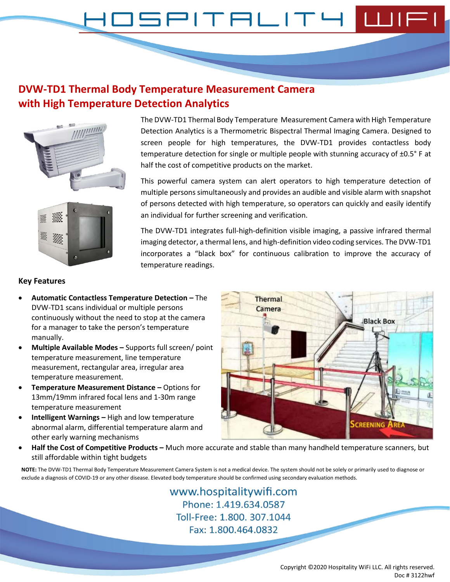#### $PITHLITH$ コニド

# **DVW-TD1 Thermal Body Temperature Measurement Camera with High Temperature Detection Analytics**





The DVW-TD1 Thermal Body Temperature Measurement Camera with High Temperature Detection Analytics is a Thermometric Bispectral Thermal Imaging Camera. Designed to screen people for high temperatures, the DVW-TD1 provides contactless body temperature detection for single or multiple people with stunning accuracy of ±0.5° F at half the cost of competitive products on the market.

This powerful camera system can alert operators to high temperature detection of multiple persons simultaneously and provides an audible and visible alarm with snapshot of persons detected with high temperature, so operators can quickly and easily identify an individual for further screening and verification.

The DVW-TD1 integrates full-high-definition visible imaging, a passive infrared thermal imaging detector, a thermal lens, and high-definition video coding services. The DVW-TD1 incorporates a "black box" for continuous calibration to improve the accuracy of temperature readings.

#### **Key Features**

- **Automatic Contactless Temperature Detection –** The DVW-TD1 scans individual or multiple persons continuously without the need to stop at the camera for a manager to take the person's temperature manually.
- **Multiple Available Modes –** Supports full screen/ point temperature measurement, line temperature measurement, rectangular area, irregular area temperature measurement.
- **Temperature Measurement Distance –** Options for 13mm/19mm infrared focal lens and 1-30m range temperature measurement
- **Intelligent Warnings –** High and low temperature abnormal alarm, differential temperature alarm and other early warning mechanisms



• **Half the Cost of Competitive Products –** Much more accurate and stable than many handheld temperature scanners, but still affordable within tight budgets

**NOTE:** The DVW-TD1 Thermal Body Temperature Measurement Camera System is not a medical device. The system should not be solely or primarily used to diagnose or exclude a diagnosis of COVID-19 or any other disease. Elevated body temperature should be confirmed using secondary evaluation methods.

> www.hospitalitywifi.com Phone: 1.419.634.0587 Toll-Free: 1.800, 307.1044 Fax: 1.800.464.0832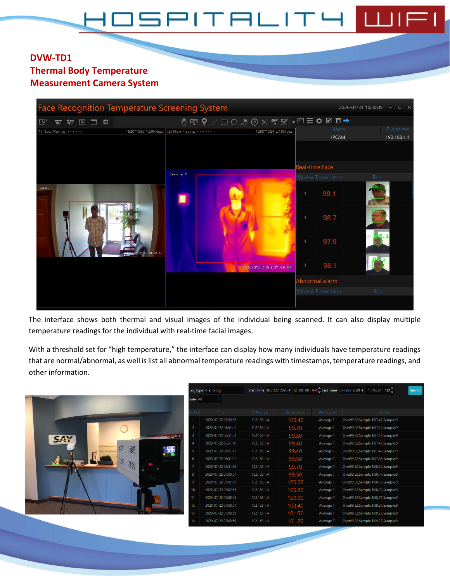# 3 L

#### **DVW-TD1 Thermal Body Temperature Measurement Camera System**

| <b>Face Recognition Temperature Screening System</b>       |                    |                         |                         |                                        | 2020-07-31 10:30:05<br>$\Box$ $\times$ |
|------------------------------------------------------------|--------------------|-------------------------|-------------------------|----------------------------------------|----------------------------------------|
| □ 章<br>圖<br>$\frac{1}{2}$<br>围<br>$\overline{\mathcal{P}}$ |                    |                         |                         | <b>ᠿਊ↑</b> / □○ 5⊙ X T K ± E = ✿ Ø m → |                                        |
| [1] Now Playing >>>>>>                                     | 1920*1080 1.59Mbps | [2] Now Playing >>>>>>> | 1280*1024 2.18Mbps      | Name<br><b>IPCAM</b>                   | <b>IP Address</b><br>192.168.1.4       |
|                                                            |                    |                         |                         | Real-time Face                         |                                        |
|                                                            |                    | $Cemera-2$              |                         | Window Temperature                     | Face                                   |
| Cuneri I                                                   |                    |                         |                         | 99.1                                   |                                        |
|                                                            |                    |                         |                         | 987                                    |                                        |
|                                                            | 67:07:29:04        |                         |                         | 97.9                                   |                                        |
|                                                            |                    |                         | 2020/07/31 Fri 07:29:04 | 98.1                                   |                                        |
|                                                            |                    |                         |                         | Abnormal alarm                         |                                        |
|                                                            |                    |                         |                         | Window Temperature                     | Face                                   |
|                                                            |                    |                         |                         |                                        |                                        |

The interface shows both thermal and visual images of the individual being scanned. It can also display multiple temperature readings for the individual with real-time facial images.

With a threshold set for "high temperature," the interface can display how many individuals have temperature readings that are normal/abnormal, as well is list all abnormal temperature readings with timestamps, temperature readings, and other information.

|                             |                | Log type Alarm log  |               |             |            | Start Time 07/22/2020 4 12:00:00 AM End Time 07/22/2020 4 7:46:24 AM | Search |
|-----------------------------|----------------|---------------------|---------------|-------------|------------|----------------------------------------------------------------------|--------|
|                             | Sate All       |                     |               |             |            |                                                                      |        |
|                             |                | Time                | IP Address    | Temperature | Alarm type | Details                                                              |        |
|                             |                | 2020-07-22 06:50:58 | 192.168.1.4   | 100.40      | Average T. | Over99.32, Sample T:87.47, Sample:9                                  |        |
| $\gamma$                    | 2              | 2020-07-22 06:51:01 | 192.168.1.4   | 99.70       | Average T. | Over99.32, Sample T:87.47, Sample:9                                  |        |
| <b>ELLUFI</b><br><b>SAY</b> | -3             | 2020-07-22 06:51:02 | 192.168.1.4   | 99.50       | Average T. | Over99.32, Sample T:87.47, Sample:9                                  |        |
|                             |                | 2020-07-22 06:51:10 | 192.168.1.4   | 99.40       | Average T. | Over99.32, Sample T:87.47, Sample: 9                                 |        |
| 灐<br>靈<br>985               | -5             | 2020-07-22 06:51:11 | 192.168.1.4   | 99.40       | Average T. | Over99.32, Sample T:87.47, Sample:9                                  |        |
|                             | 6              | 2020-07-22 06:51:21 | 192.168.1.4   | 99.50       | Average T. | Over99.32, Sample T:87.85, Sample:9                                  |        |
| 溪                           |                | 2020-07-22 06:51:30 | 192.168.1.4   | 99.70       | Average T. | Over99.32, Sample T:88.35, Sample:9                                  |        |
|                             | -8             | 2020-07-22 07:00:57 | 192.168.1.4   | 99.50       | Average T. | Over99.32, Sample T:88.77, Sample:9                                  |        |
|                             | $\overline{9}$ | 2020-07-22 07:07:55 | 192, 168, 1.4 | 100.00      | Average T. | Over99.32, Sample T:88.77, Sample:9                                  |        |
|                             | 10             | 2020-07-22 07:07:55 | 192.168.1.4   | 100.20      | Average T. | Over99.32, Sample T:88.77, Sample:9                                  |        |
|                             | 11             | 2020-07-22 07:08:06 | 192.168.1.4   | 100.00      | Average T. | Over99.32, Sample T:88.77, Sample:9                                  |        |
|                             | 12             | 2020-07-22 07:09:57 | 192.168.1.4   | 102.40      | Average T. | Over99.32, Sample T:89.27, Sample:9                                  |        |
|                             | 13             | 2020-07-22 07:09:58 | 192.168.1.4   | 101.50      | Average T. | Over99.32, Sample T:89.27, Sample:9                                  |        |
|                             | 14             | 2020-07-22 07:09:59 | 192.168.1.4   | 101.20      | Average T. | Over99.32, Sample T:89.27, Sample:9                                  |        |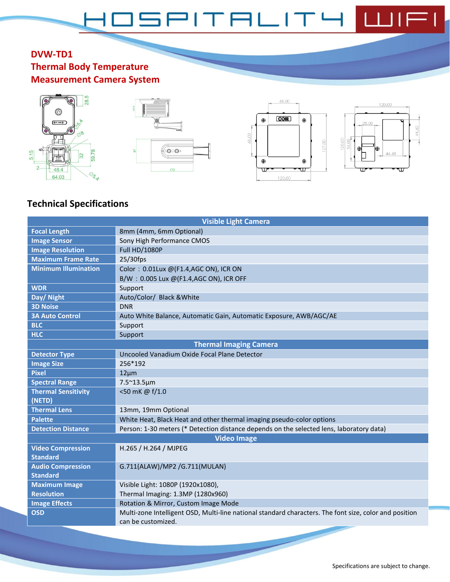#### **DVW-TD1 Thermal Body Temperature Measurement Camera System**









# **Technical Specifications**

|                             | <b>Visible Light Camera</b>                                                                            |  |  |  |
|-----------------------------|--------------------------------------------------------------------------------------------------------|--|--|--|
| <b>Focal Length</b>         | 8mm (4mm, 6mm Optional)                                                                                |  |  |  |
| <b>Image Sensor</b>         | Sony High Performance CMOS                                                                             |  |  |  |
| <b>Image Resolution</b>     | <b>Full HD/1080P</b>                                                                                   |  |  |  |
| <b>Maximum Frame Rate</b>   | $25/30$ fps                                                                                            |  |  |  |
| <b>Minimum Illumination</b> | Color: 0.01Lux @(F1.4,AGC ON), ICR ON                                                                  |  |  |  |
|                             | B/W: 0.005 Lux @(F1.4,AGC ON), ICR OFF                                                                 |  |  |  |
| <b>WDR</b>                  | Support                                                                                                |  |  |  |
| Day/ Night                  | Auto/Color/ Black & White                                                                              |  |  |  |
| <b>3D Noise</b>             | <b>DNR</b>                                                                                             |  |  |  |
| <b>3A Auto Control</b>      | Auto White Balance, Automatic Gain, Automatic Exposure, AWB/AGC/AE                                     |  |  |  |
| <b>BLC</b>                  | Support                                                                                                |  |  |  |
| <b>HLC</b>                  | Support                                                                                                |  |  |  |
|                             | <b>Thermal Imaging Camera</b>                                                                          |  |  |  |
| <b>Detector Type</b>        | Uncooled Vanadium Oxide Focal Plane Detector                                                           |  |  |  |
| <b>Image Size</b>           | 256*192                                                                                                |  |  |  |
| <b>Pixel</b>                | $12 \mu m$                                                                                             |  |  |  |
| <b>Spectral Range</b>       | 7.5~13.5µm                                                                                             |  |  |  |
| <b>Thermal Sensitivity</b>  | <50 mK @ f/1.0                                                                                         |  |  |  |
| (NETD)                      |                                                                                                        |  |  |  |
| <b>Thermal Lens</b>         | 13mm, 19mm Optional                                                                                    |  |  |  |
| <b>Palette</b>              | White Heat, Black Heat and other thermal imaging pseudo-color options                                  |  |  |  |
| <b>Detection Distance</b>   | Person: 1-30 meters (* Detection distance depends on the selected lens, laboratory data)               |  |  |  |
|                             | <b>Video Image</b>                                                                                     |  |  |  |
| <b>Video Compression</b>    | H.265 / H.264 / MJPEG                                                                                  |  |  |  |
| <b>Standard</b>             |                                                                                                        |  |  |  |
| <b>Audio Compression</b>    | G.711(ALAW)/MP2 /G.711(MULAN)                                                                          |  |  |  |
| <b>Standard</b>             |                                                                                                        |  |  |  |
| <b>Maximum Image</b>        | Visible Light: 1080P (1920x1080),                                                                      |  |  |  |
| <b>Resolution</b>           | Thermal Imaging: 1.3MP (1280x960)                                                                      |  |  |  |
| <b>Image Effects</b>        | Rotation & Mirror, Custom Image Mode                                                                   |  |  |  |
| <b>OSD</b>                  | Multi-zone Intelligent OSD, Multi-line national standard characters. The font size, color and position |  |  |  |
|                             | can be customized.                                                                                     |  |  |  |
|                             |                                                                                                        |  |  |  |